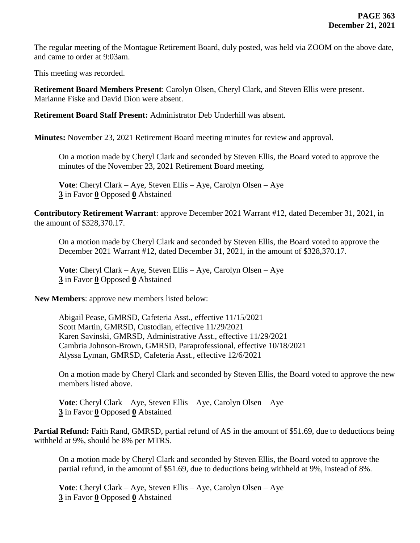The regular meeting of the Montague Retirement Board, duly posted, was held via ZOOM on the above date, and came to order at 9:03am.

This meeting was recorded.

**Retirement Board Members Present**: Carolyn Olsen, Cheryl Clark, and Steven Ellis were present. Marianne Fiske and David Dion were absent.

**Retirement Board Staff Present:** Administrator Deb Underhill was absent.

**Minutes:** November 23, 2021 Retirement Board meeting minutes for review and approval.

On a motion made by Cheryl Clark and seconded by Steven Ellis, the Board voted to approve the minutes of the November 23, 2021 Retirement Board meeting.

**Vote**: Cheryl Clark – Aye, Steven Ellis – Aye, Carolyn Olsen – Aye **3** in Favor **0** Opposed **0** Abstained

**Contributory Retirement Warrant**: approve December 2021 Warrant #12, dated December 31, 2021, in the amount of \$328,370.17.

On a motion made by Cheryl Clark and seconded by Steven Ellis, the Board voted to approve the December 2021 Warrant #12, dated December 31, 2021, in the amount of \$328,370.17.

**Vote**: Cheryl Clark – Aye, Steven Ellis – Aye, Carolyn Olsen – Aye **3** in Favor **0** Opposed **0** Abstained

**New Members**: approve new members listed below:

Abigail Pease, GMRSD, Cafeteria Asst., effective 11/15/2021 Scott Martin, GMRSD, Custodian, effective 11/29/2021 Karen Savinski, GMRSD, Administrative Asst., effective 11/29/2021 Cambria Johnson-Brown, GMRSD, Paraprofessional, effective 10/18/2021 Alyssa Lyman, GMRSD, Cafeteria Asst., effective 12/6/2021

On a motion made by Cheryl Clark and seconded by Steven Ellis, the Board voted to approve the new members listed above.

**Vote**: Cheryl Clark – Aye, Steven Ellis – Aye, Carolyn Olsen – Aye **3** in Favor **0** Opposed **0** Abstained

Partial Refund: Faith Rand, GMRSD, partial refund of AS in the amount of \$51.69, due to deductions being withheld at 9%, should be 8% per MTRS.

On a motion made by Cheryl Clark and seconded by Steven Ellis, the Board voted to approve the partial refund, in the amount of \$51.69, due to deductions being withheld at 9%, instead of 8%.

**Vote**: Cheryl Clark – Aye, Steven Ellis – Aye, Carolyn Olsen – Aye **3** in Favor **0** Opposed **0** Abstained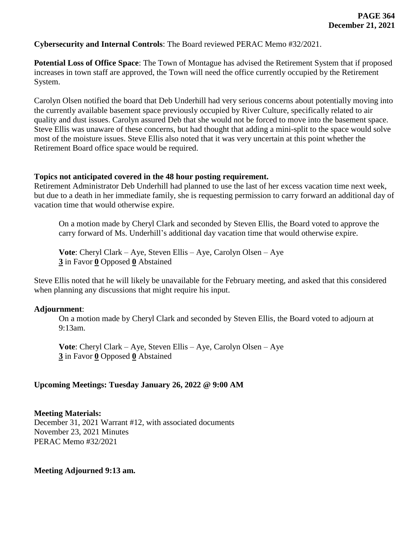**Cybersecurity and Internal Controls**: The Board reviewed PERAC Memo #32/2021.

**Potential Loss of Office Space**: The Town of Montague has advised the Retirement System that if proposed increases in town staff are approved, the Town will need the office currently occupied by the Retirement System.

Carolyn Olsen notified the board that Deb Underhill had very serious concerns about potentially moving into the currently available basement space previously occupied by River Culture, specifically related to air quality and dust issues. Carolyn assured Deb that she would not be forced to move into the basement space. Steve Ellis was unaware of these concerns, but had thought that adding a mini-split to the space would solve most of the moisture issues. Steve Ellis also noted that it was very uncertain at this point whether the Retirement Board office space would be required.

### **Topics not anticipated covered in the 48 hour posting requirement.**

Retirement Administrator Deb Underhill had planned to use the last of her excess vacation time next week, but due to a death in her immediate family, she is requesting permission to carry forward an additional day of vacation time that would otherwise expire.

On a motion made by Cheryl Clark and seconded by Steven Ellis, the Board voted to approve the carry forward of Ms. Underhill's additional day vacation time that would otherwise expire.

**Vote**: Cheryl Clark – Aye, Steven Ellis – Aye, Carolyn Olsen – Aye **3** in Favor **0** Opposed **0** Abstained

Steve Ellis noted that he will likely be unavailable for the February meeting, and asked that this considered when planning any discussions that might require his input.

## **Adjournment**:

On a motion made by Cheryl Clark and seconded by Steven Ellis, the Board voted to adjourn at 9:13am.

**Vote**: Cheryl Clark – Aye, Steven Ellis – Aye, Carolyn Olsen – Aye **3** in Favor **0** Opposed **0** Abstained

## **Upcoming Meetings: Tuesday January 26, 2022 @ 9:00 AM**

## **Meeting Materials:**

December 31, 2021 Warrant #12, with associated documents November 23, 2021 Minutes PERAC Memo #32/2021

## **Meeting Adjourned 9:13 am.**